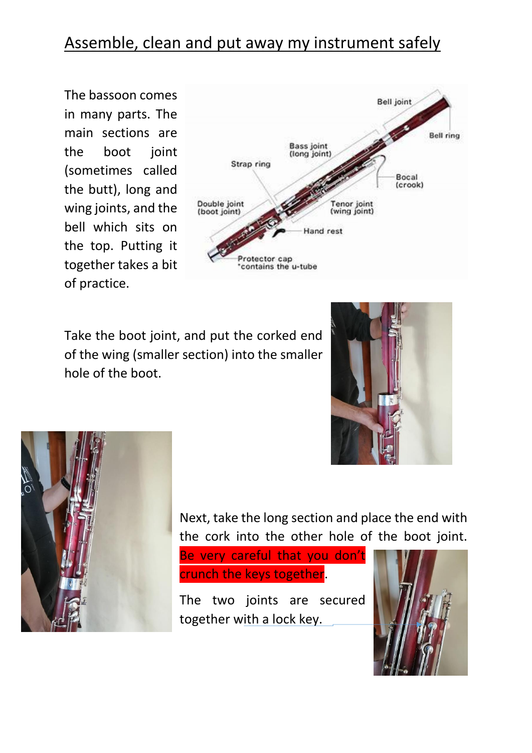## Assemble, clean and put away my instrument safely

The bassoon comes in many parts. The main sections are the boot joint (sometimes called the butt), long and wing joints, and the bell which sits on the top. Putting it together takes a bit of practice.



Take the boot joint, and put the corked end of the wing (smaller section) into the smaller hole of the boot.





Next, take the long section and place the end with the cork into the other hole of the boot joint.

Be very careful that you don't crunch the keys together.

The two joints are secured together with a lock key.

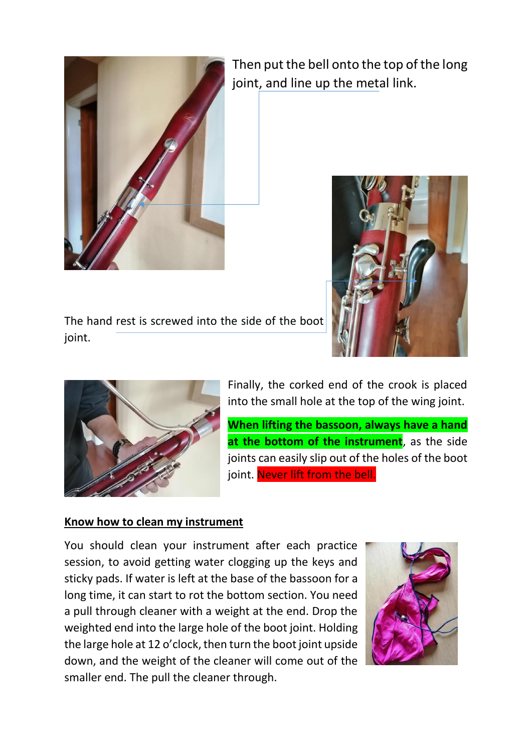

Then put the bell onto the top of the long joint, and line up the metal link.



The hand rest is screwed into the side of the boot joint.



Finally, the corked end of the crook is placed into the small hole at the top of the wing joint.

**When lifting the bassoon, always have a hand at the bottom of the instrument**, as the side joints can easily slip out of the holes of the boot joint. Never lift from the bell.

## **Know how to clean my instrument**

You should clean your instrument after each practice session, to avoid getting water clogging up the keys and sticky pads. If water is left at the base of the bassoon for a long time, it can start to rot the bottom section. You need a pull through cleaner with a weight at the end. Drop the weighted end into the large hole of the boot joint. Holding the large hole at 12 o'clock, then turn the boot joint upside down, and the weight of the cleaner will come out of the smaller end. The pull the cleaner through.